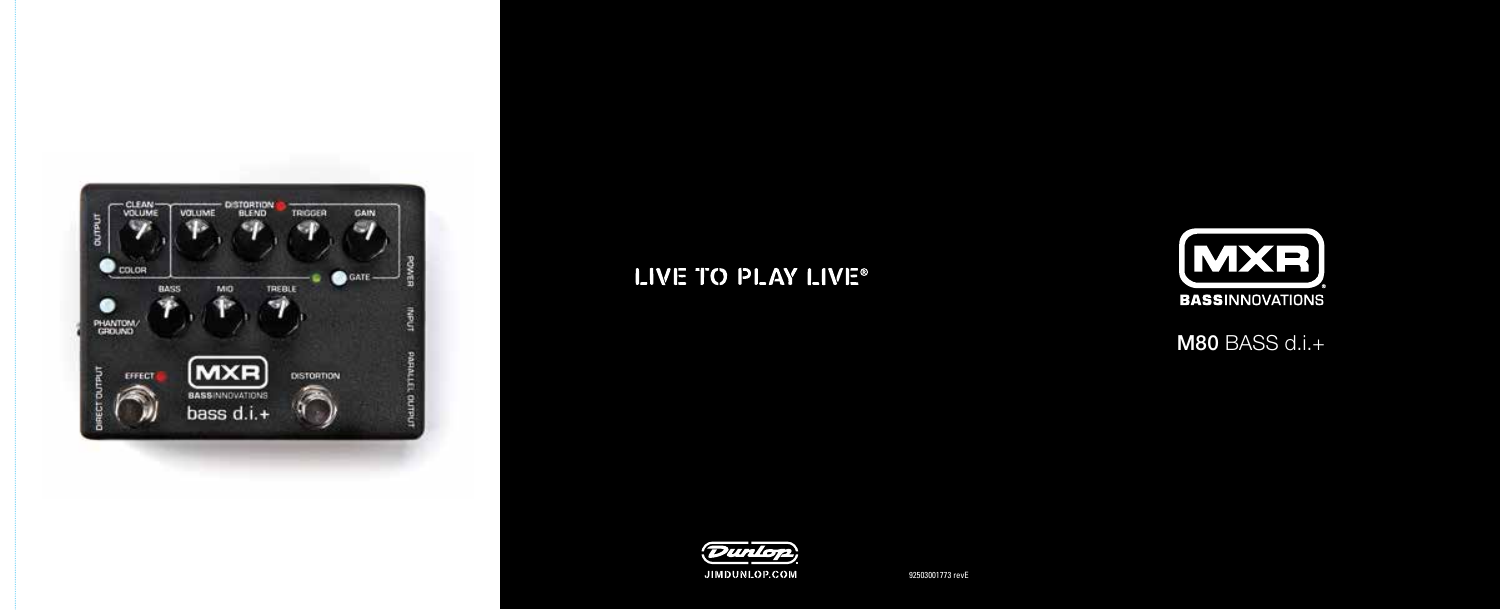

# LIVE TO PLAY LIVE®



M80 BASS d.i.+



92503001773 revE